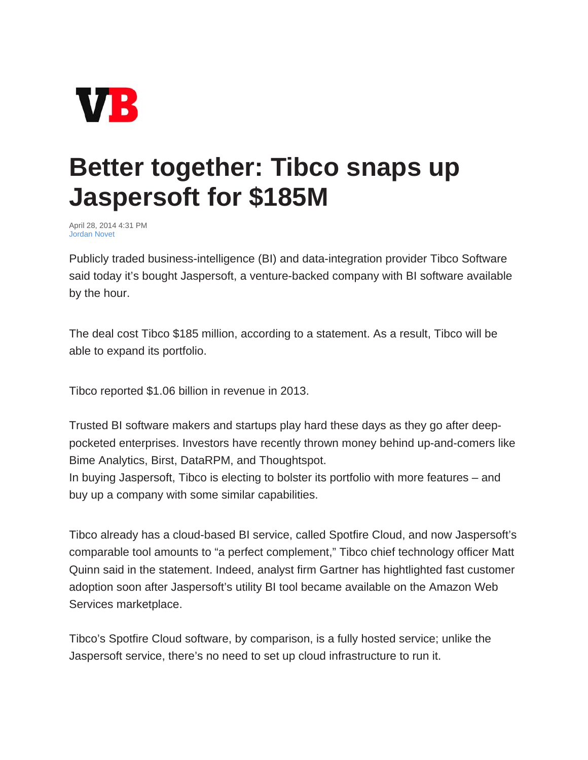

## **Better together: Tibco snaps up Jaspersoft for \$185M**

April 28, 2014 4:31 PM Jordan Novet

Publicly traded business-intelligence (BI) and data-integration provider Tibco Software said today it's bought Jaspersoft, a venture-backed company with BI software available by the hour.

The deal cost Tibco \$185 million, according to a statement. As a result, Tibco will be able to expand its portfolio.

Tibco reported \$1.06 billion in revenue in 2013.

Trusted BI software makers and startups play hard these days as they go after deeppocketed enterprises. Investors have recently thrown money behind up-and-comers like Bime Analytics, Birst, DataRPM, and Thoughtspot.

In buying Jaspersoft, Tibco is electing to bolster its portfolio with more features – and buy up a company with some similar capabilities.

Tibco already has a cloud-based BI service, called Spotfire Cloud, and now Jaspersoft's comparable tool amounts to "a perfect complement," Tibco chief technology officer Matt Quinn said in the statement. Indeed, analyst firm Gartner has hightlighted fast customer adoption soon after Jaspersoft's utility BI tool became available on the Amazon Web Services marketplace.

Tibco's Spotfire Cloud software, by comparison, is a fully hosted service; unlike the Jaspersoft service, there's no need to set up cloud infrastructure to run it.